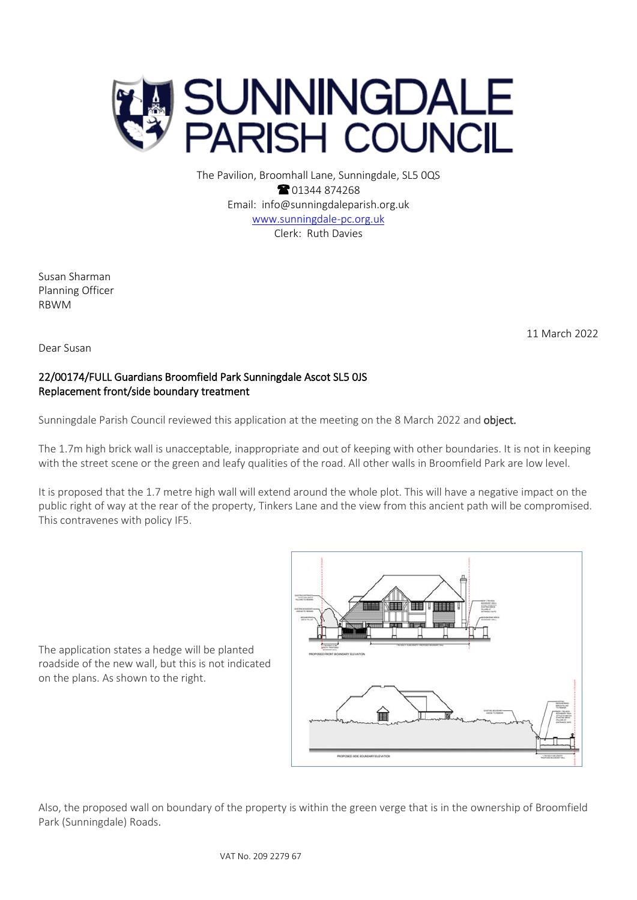

The Pavilion, Broomhall Lane, Sunningdale, SL5 0QS <sup>2</sup>01344 874268 Email: info@sunningdaleparish.org.uk [www.sunningdale-pc.org.uk](http://www.sunningdale-pc.org.uk/) Clerk: Ruth Davies

Susan Sharman Planning Officer RBWM

11 March 2022

Dear Susan

## 22/00174/FULL Guardians Broomfield Park Sunningdale Ascot SL5 0JS Replacement front/side boundary treatment

Sunningdale Parish Council reviewed this application at the meeting on the 8 March 2022 and object.

The 1.7m high brick wall is unacceptable, inappropriate and out of keeping with other boundaries. It is not in keeping with the street scene or the green and leafy qualities of the road. All other walls in Broomfield Park are low level.

It is proposed that the 1.7 metre high wall will extend around the whole plot. This will have a negative impact on the public right of way at the rear of the property, Tinkers Lane and the view from this ancient path will be compromised. This contravenes with policy IF5.

The application states a hedge will be planted roadside of the new wall, but this is not indicated on the plans. As shown to the right.



Also, the proposed wall on boundary of the property is within the green verge that is in the ownership of Broomfield Park (Sunningdale) Roads.